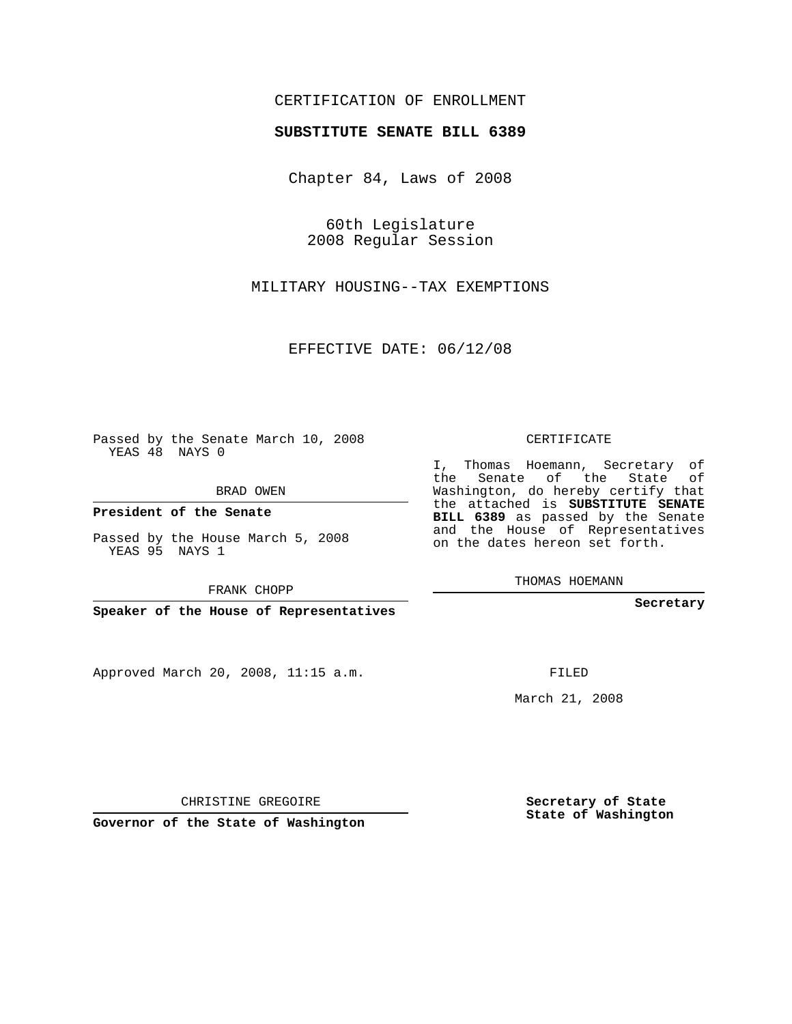## CERTIFICATION OF ENROLLMENT

## **SUBSTITUTE SENATE BILL 6389**

Chapter 84, Laws of 2008

60th Legislature 2008 Regular Session

MILITARY HOUSING--TAX EXEMPTIONS

EFFECTIVE DATE: 06/12/08

Passed by the Senate March 10, 2008 YEAS 48 NAYS 0

BRAD OWEN

**President of the Senate**

Passed by the House March 5, 2008 YEAS 95 NAYS 1

FRANK CHOPP

**Speaker of the House of Representatives**

Approved March 20, 2008, 11:15 a.m.

CERTIFICATE

I, Thomas Hoemann, Secretary of the Senate of the State of Washington, do hereby certify that the attached is **SUBSTITUTE SENATE BILL 6389** as passed by the Senate and the House of Representatives on the dates hereon set forth.

THOMAS HOEMANN

**Secretary**

FILED

March 21, 2008

**Secretary of State State of Washington**

CHRISTINE GREGOIRE

**Governor of the State of Washington**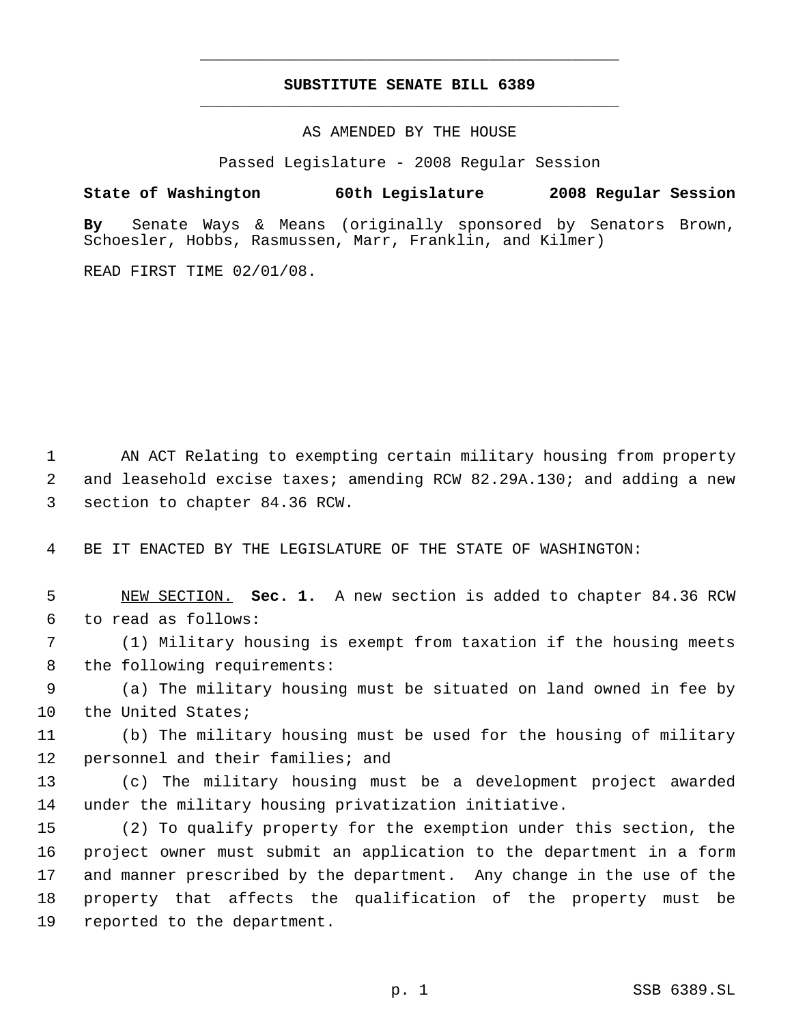## **SUBSTITUTE SENATE BILL 6389** \_\_\_\_\_\_\_\_\_\_\_\_\_\_\_\_\_\_\_\_\_\_\_\_\_\_\_\_\_\_\_\_\_\_\_\_\_\_\_\_\_\_\_\_\_

\_\_\_\_\_\_\_\_\_\_\_\_\_\_\_\_\_\_\_\_\_\_\_\_\_\_\_\_\_\_\_\_\_\_\_\_\_\_\_\_\_\_\_\_\_

AS AMENDED BY THE HOUSE

Passed Legislature - 2008 Regular Session

**State of Washington 60th Legislature 2008 Regular Session**

**By** Senate Ways & Means (originally sponsored by Senators Brown, Schoesler, Hobbs, Rasmussen, Marr, Franklin, and Kilmer)

READ FIRST TIME 02/01/08.

 AN ACT Relating to exempting certain military housing from property and leasehold excise taxes; amending RCW 82.29A.130; and adding a new section to chapter 84.36 RCW.

BE IT ENACTED BY THE LEGISLATURE OF THE STATE OF WASHINGTON:

 NEW SECTION. **Sec. 1.** A new section is added to chapter 84.36 RCW to read as follows:

 (1) Military housing is exempt from taxation if the housing meets the following requirements:

 (a) The military housing must be situated on land owned in fee by 10 the United States;

 (b) The military housing must be used for the housing of military personnel and their families; and

 (c) The military housing must be a development project awarded under the military housing privatization initiative.

 (2) To qualify property for the exemption under this section, the project owner must submit an application to the department in a form and manner prescribed by the department. Any change in the use of the property that affects the qualification of the property must be reported to the department.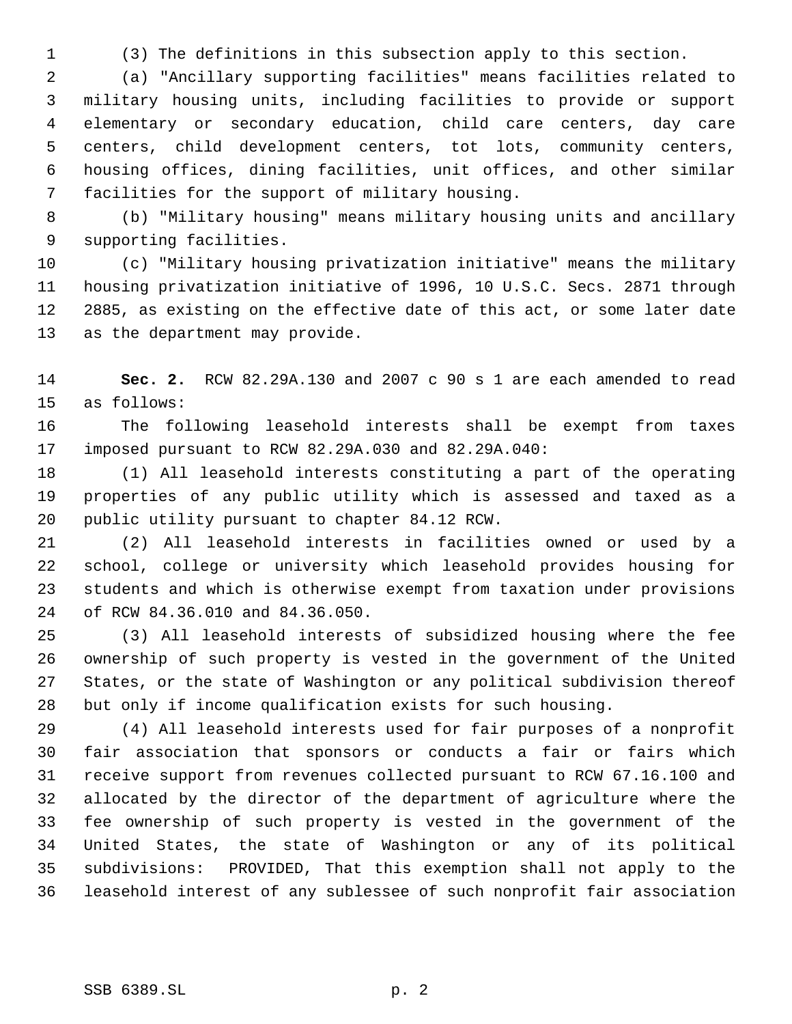(3) The definitions in this subsection apply to this section.

 (a) "Ancillary supporting facilities" means facilities related to military housing units, including facilities to provide or support elementary or secondary education, child care centers, day care centers, child development centers, tot lots, community centers, housing offices, dining facilities, unit offices, and other similar facilities for the support of military housing.

 (b) "Military housing" means military housing units and ancillary supporting facilities.

 (c) "Military housing privatization initiative" means the military housing privatization initiative of 1996, 10 U.S.C. Secs. 2871 through 2885, as existing on the effective date of this act, or some later date as the department may provide.

 **Sec. 2.** RCW 82.29A.130 and 2007 c 90 s 1 are each amended to read as follows:

 The following leasehold interests shall be exempt from taxes imposed pursuant to RCW 82.29A.030 and 82.29A.040:

 (1) All leasehold interests constituting a part of the operating properties of any public utility which is assessed and taxed as a public utility pursuant to chapter 84.12 RCW.

 (2) All leasehold interests in facilities owned or used by a school, college or university which leasehold provides housing for students and which is otherwise exempt from taxation under provisions of RCW 84.36.010 and 84.36.050.

 (3) All leasehold interests of subsidized housing where the fee ownership of such property is vested in the government of the United States, or the state of Washington or any political subdivision thereof but only if income qualification exists for such housing.

 (4) All leasehold interests used for fair purposes of a nonprofit fair association that sponsors or conducts a fair or fairs which receive support from revenues collected pursuant to RCW 67.16.100 and allocated by the director of the department of agriculture where the fee ownership of such property is vested in the government of the United States, the state of Washington or any of its political subdivisions: PROVIDED, That this exemption shall not apply to the leasehold interest of any sublessee of such nonprofit fair association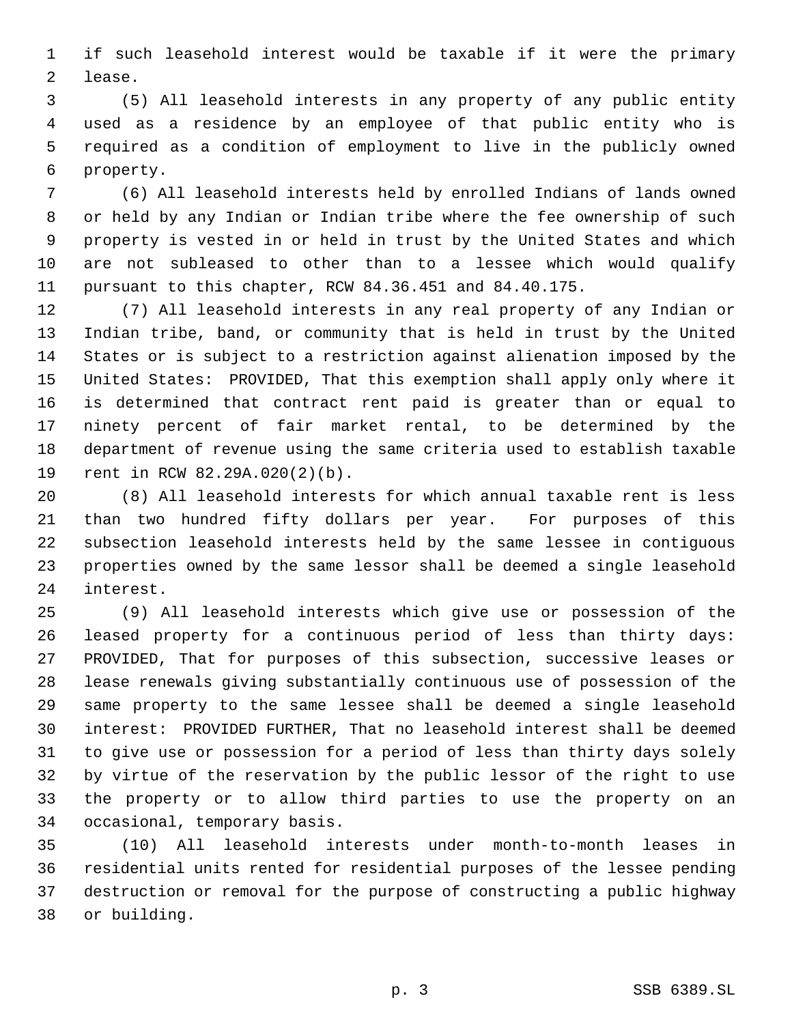if such leasehold interest would be taxable if it were the primary lease.

 (5) All leasehold interests in any property of any public entity used as a residence by an employee of that public entity who is required as a condition of employment to live in the publicly owned property.

 (6) All leasehold interests held by enrolled Indians of lands owned or held by any Indian or Indian tribe where the fee ownership of such property is vested in or held in trust by the United States and which are not subleased to other than to a lessee which would qualify pursuant to this chapter, RCW 84.36.451 and 84.40.175.

 (7) All leasehold interests in any real property of any Indian or Indian tribe, band, or community that is held in trust by the United States or is subject to a restriction against alienation imposed by the United States: PROVIDED, That this exemption shall apply only where it is determined that contract rent paid is greater than or equal to ninety percent of fair market rental, to be determined by the department of revenue using the same criteria used to establish taxable rent in RCW 82.29A.020(2)(b).

 (8) All leasehold interests for which annual taxable rent is less than two hundred fifty dollars per year. For purposes of this subsection leasehold interests held by the same lessee in contiguous properties owned by the same lessor shall be deemed a single leasehold interest.

 (9) All leasehold interests which give use or possession of the leased property for a continuous period of less than thirty days: PROVIDED, That for purposes of this subsection, successive leases or lease renewals giving substantially continuous use of possession of the same property to the same lessee shall be deemed a single leasehold interest: PROVIDED FURTHER, That no leasehold interest shall be deemed to give use or possession for a period of less than thirty days solely by virtue of the reservation by the public lessor of the right to use the property or to allow third parties to use the property on an occasional, temporary basis.

 (10) All leasehold interests under month-to-month leases in residential units rented for residential purposes of the lessee pending destruction or removal for the purpose of constructing a public highway or building.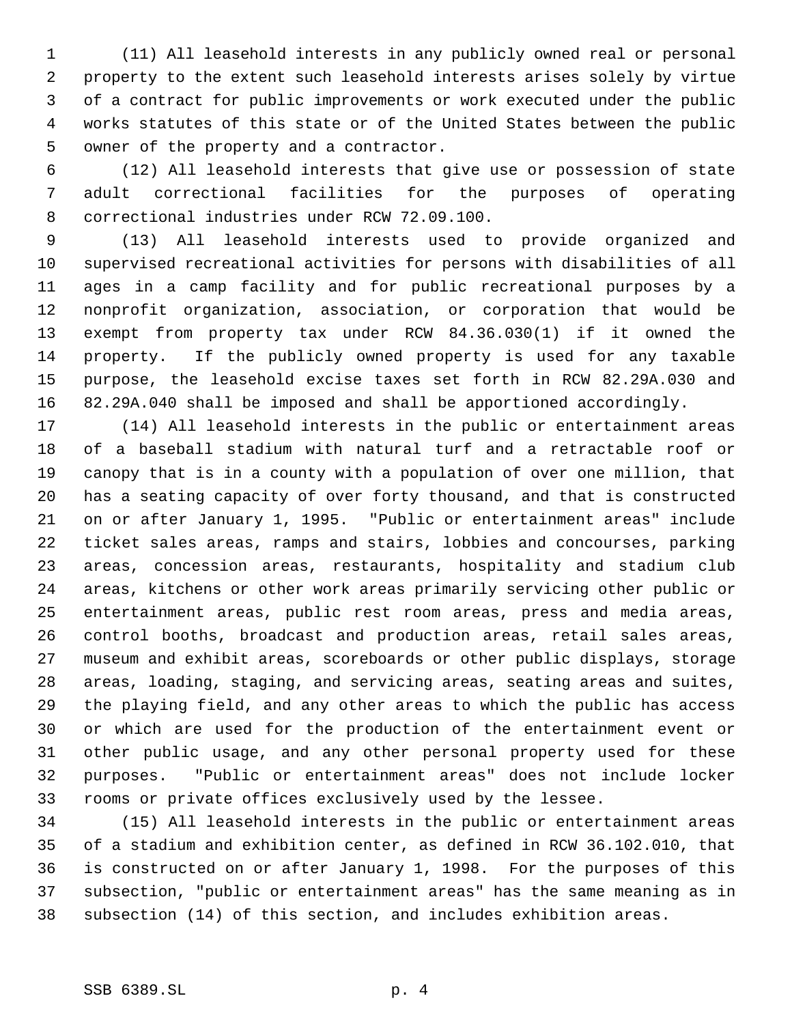(11) All leasehold interests in any publicly owned real or personal property to the extent such leasehold interests arises solely by virtue of a contract for public improvements or work executed under the public works statutes of this state or of the United States between the public owner of the property and a contractor.

 (12) All leasehold interests that give use or possession of state adult correctional facilities for the purposes of operating correctional industries under RCW 72.09.100.

 (13) All leasehold interests used to provide organized and supervised recreational activities for persons with disabilities of all ages in a camp facility and for public recreational purposes by a nonprofit organization, association, or corporation that would be exempt from property tax under RCW 84.36.030(1) if it owned the property. If the publicly owned property is used for any taxable purpose, the leasehold excise taxes set forth in RCW 82.29A.030 and 82.29A.040 shall be imposed and shall be apportioned accordingly.

 (14) All leasehold interests in the public or entertainment areas of a baseball stadium with natural turf and a retractable roof or canopy that is in a county with a population of over one million, that has a seating capacity of over forty thousand, and that is constructed on or after January 1, 1995. "Public or entertainment areas" include ticket sales areas, ramps and stairs, lobbies and concourses, parking areas, concession areas, restaurants, hospitality and stadium club areas, kitchens or other work areas primarily servicing other public or entertainment areas, public rest room areas, press and media areas, control booths, broadcast and production areas, retail sales areas, museum and exhibit areas, scoreboards or other public displays, storage areas, loading, staging, and servicing areas, seating areas and suites, the playing field, and any other areas to which the public has access or which are used for the production of the entertainment event or other public usage, and any other personal property used for these purposes. "Public or entertainment areas" does not include locker rooms or private offices exclusively used by the lessee.

 (15) All leasehold interests in the public or entertainment areas of a stadium and exhibition center, as defined in RCW 36.102.010, that is constructed on or after January 1, 1998. For the purposes of this subsection, "public or entertainment areas" has the same meaning as in subsection (14) of this section, and includes exhibition areas.